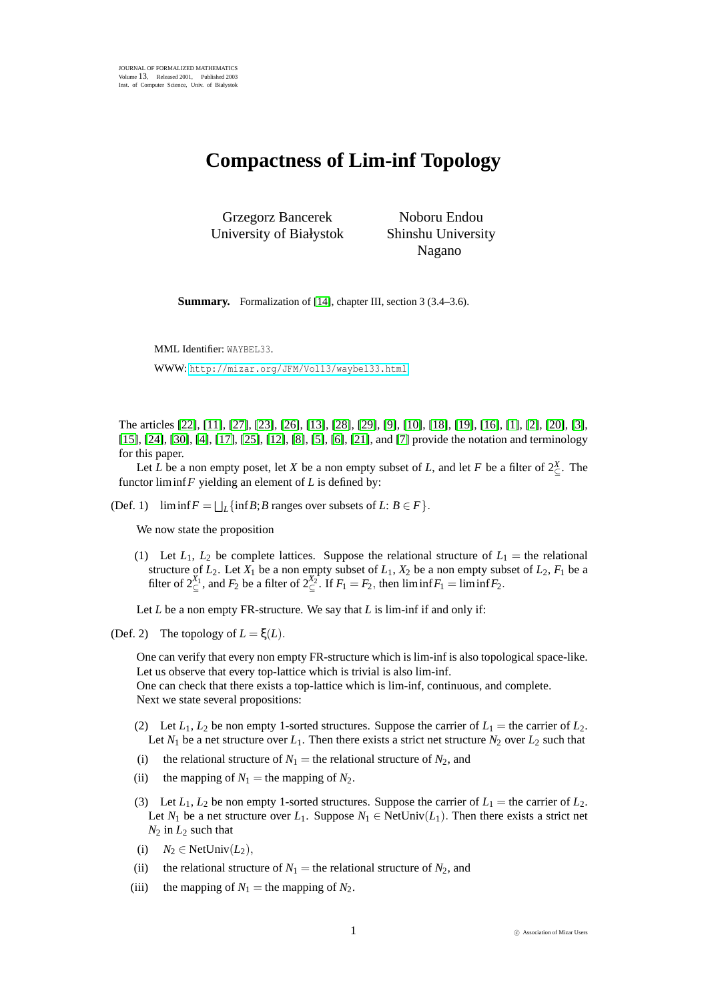## **Compactness of Lim-inf Topology**

Grzegorz Bancerek University of Białystok

Noboru Endou Shinshu University Nagano

**Summary.** Formalization of [\[14\]](#page-3-0), chapter III, section 3 (3.4–3.6).

MML Identifier: WAYBEL33. WWW: <http://mizar.org/JFM/Vol13/waybel33.html>

The articles [\[22\]](#page-3-1), [\[11\]](#page-3-2), [\[27\]](#page-3-3), [\[23\]](#page-3-4), [\[26\]](#page-3-5), [\[13\]](#page-3-6), [\[28\]](#page-3-7), [\[29\]](#page-3-8), [\[9\]](#page-3-9), [\[10\]](#page-3-10), [\[18\]](#page-3-11), [\[19\]](#page-3-12), [\[16\]](#page-3-13), [\[1\]](#page-2-0), [\[2\]](#page-2-1), [\[20\]](#page-3-14), [\[3\]](#page-2-2), [\[15\]](#page-3-15), [\[24\]](#page-3-16), [\[30\]](#page-3-17), [\[4\]](#page-2-3), [\[17\]](#page-3-18), [\[25\]](#page-3-19), [\[12\]](#page-3-20), [\[8\]](#page-3-21), [\[5\]](#page-2-4), [\[6\]](#page-3-22), [\[21\]](#page-3-23), and [\[7\]](#page-3-24) provide the notation and terminology for this paper.

Let *L* be a non empty poset, let *X* be a non empty subset of *L*, and let *F* be a filter of  $2^{\chi}_{\subseteq}$ . The functor liminf*F* yielding an element of *L* is defined by:

(Def. 1)  $\liminf F = \bigsqcup_{L} \{\inf B; B \text{ ranges over subsets of } L: B \in F\}.$ 

We now state the proposition

(1) Let  $L_1$ ,  $L_2$  be complete lattices. Suppose the relational structure of  $L_1$  = the relational structure of  $L_2$ . Let  $X_1$  be a non empty subset of  $L_1$ ,  $X_2$  be a non empty subset of  $L_2$ ,  $F_1$  be a filter of  $2^{X_1}_{\subseteq}$ , and  $F_2$  be a filter of  $2^{X_2}_{\subseteq}$ . If  $F_1 = F_2$ , then  $\liminf F_1 = \liminf F_2$ .

Let *L* be a non empty FR-structure. We say that *L* is lim-inf if and only if:

(Def. 2) The topology of  $L = \xi(L)$ .

One can verify that every non empty FR-structure which is lim-inf is also topological space-like. Let us observe that every top-lattice which is trivial is also lim-inf.

One can check that there exists a top-lattice which is lim-inf, continuous, and complete. Next we state several propositions:

- (2) Let  $L_1$ ,  $L_2$  be non empty 1-sorted structures. Suppose the carrier of  $L_1$  = the carrier of  $L_2$ . Let  $N_1$  be a net structure over  $L_1$ . Then there exists a strict net structure  $N_2$  over  $L_2$  such that
- (i) the relational structure of  $N_1$  = the relational structure of  $N_2$ , and
- (ii) the mapping of  $N_1$  = the mapping of  $N_2$ .
- (3) Let  $L_1$ ,  $L_2$  be non empty 1-sorted structures. Suppose the carrier of  $L_1$  = the carrier of  $L_2$ . Let *N*<sub>1</sub> be a net structure over *L*<sub>1</sub>. Suppose *N*<sub>1</sub> ∈ NetUniv(*L*<sub>1</sub>). Then there exists a strict net  $N_2$  in  $L_2$  such that
- (i)  $N_2 \in \text{NetUniv}(L_2)$ ,
- (ii) the relational structure of  $N_1$  = the relational structure of  $N_2$ , and
- (iii) the mapping of  $N_1$  = the mapping of  $N_2$ .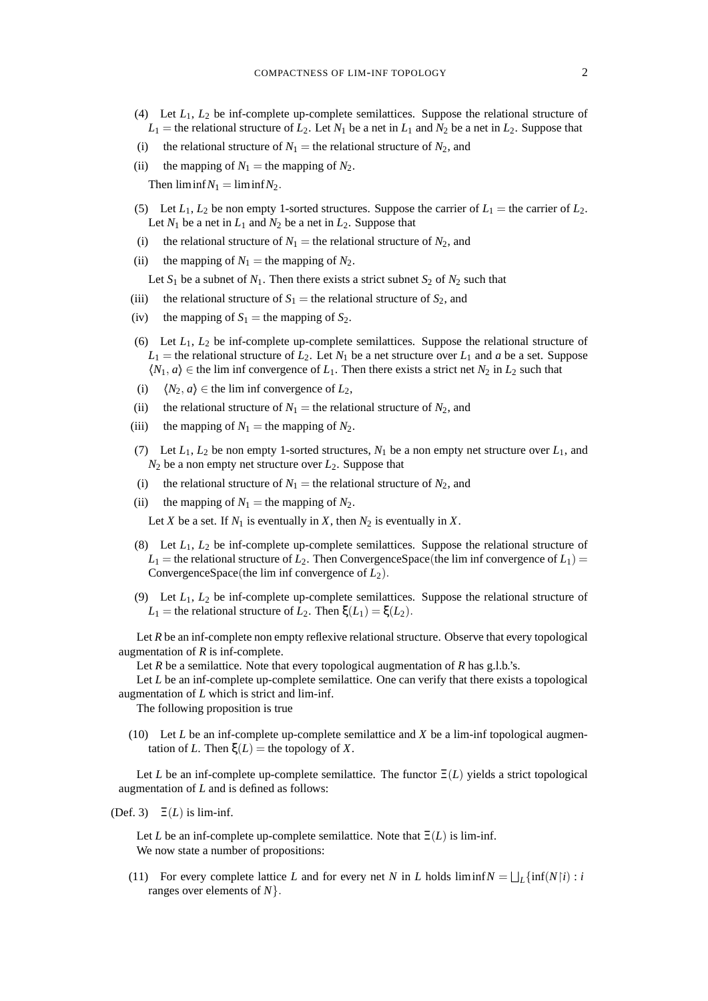- (4) Let *L*1, *L*<sup>2</sup> be inf-complete up-complete semilattices. Suppose the relational structure of  $L_1$  = the relational structure of  $L_2$ . Let  $N_1$  be a net in  $L_1$  and  $N_2$  be a net in  $L_2$ . Suppose that
- (i) the relational structure of  $N_1$  = the relational structure of  $N_2$ , and
- (ii) the mapping of  $N_1$  = the mapping of  $N_2$ .

Then  $\liminf N_1 = \liminf N_2$ .

- (5) Let  $L_1$ ,  $L_2$  be non empty 1-sorted structures. Suppose the carrier of  $L_1$  = the carrier of  $L_2$ . Let  $N_1$  be a net in  $L_1$  and  $N_2$  be a net in  $L_2$ . Suppose that
- (i) the relational structure of  $N_1$  = the relational structure of  $N_2$ , and
- (ii) the mapping of  $N_1$  = the mapping of  $N_2$ .

Let  $S_1$  be a subnet of  $N_1$ . Then there exists a strict subnet  $S_2$  of  $N_2$  such that

- (iii) the relational structure of  $S_1$  = the relational structure of  $S_2$ , and
- (iv) the mapping of  $S_1$  = the mapping of  $S_2$ .
- (6) Let *L*1, *L*<sup>2</sup> be inf-complete up-complete semilattices. Suppose the relational structure of  $L_1$  = the relational structure of  $L_2$ . Let  $N_1$  be a net structure over  $L_1$  and *a* be a set. Suppose  $\langle N_1, a \rangle \in$  the lim inf convergence of  $L_1$ . Then there exists a strict net  $N_2$  in  $L_2$  such that
- (i)  $\langle N_2, a \rangle \in$  the lim inf convergence of *L*<sub>2</sub>,
- (ii) the relational structure of  $N_1$  = the relational structure of  $N_2$ , and
- (iii) the mapping of  $N_1$  = the mapping of  $N_2$ .
- (7) Let  $L_1$ ,  $L_2$  be non empty 1-sorted structures,  $N_1$  be a non empty net structure over  $L_1$ , and  $N_2$  be a non empty net structure over  $L_2$ . Suppose that
- (i) the relational structure of  $N_1$  = the relational structure of  $N_2$ , and
- (ii) the mapping of  $N_1$  = the mapping of  $N_2$ .

Let *X* be a set. If  $N_1$  is eventually in *X*, then  $N_2$  is eventually in *X*.

- (8) Let *L*1, *L*<sup>2</sup> be inf-complete up-complete semilattices. Suppose the relational structure of  $L_1$  = the relational structure of  $L_2$ . Then ConvergenceSpace(the lim inf convergence of  $L_1$ ) = ConvergenceSpace(the lim inf convergence of *L*2).
- (9) Let  $L_1$ ,  $L_2$  be inf-complete up-complete semilattices. Suppose the relational structure of *L*<sub>1</sub> = the relational structure of *L*<sub>2</sub>. Then  $\xi$ (*L*<sub>1</sub>) =  $\xi$ (*L*<sub>2</sub>).

Let *R* be an inf-complete non empty reflexive relational structure. Observe that every topological augmentation of *R* is inf-complete.

Let *R* be a semilattice. Note that every topological augmentation of *R* has g.l.b.'s.

Let *L* be an inf-complete up-complete semilattice. One can verify that there exists a topological augmentation of *L* which is strict and lim-inf.

The following proposition is true

(10) Let *L* be an inf-complete up-complete semilattice and *X* be a lim-inf topological augmentation of *L*. Then  $\xi(L)$  = the topology of *X*.

Let *L* be an inf-complete up-complete semilattice. The functor  $\Xi(L)$  yields a strict topological augmentation of *L* and is defined as follows:

(Def. 3)  $\Xi(L)$  is lim-inf.

Let *L* be an inf-complete up-complete semilattice. Note that  $\Xi(L)$  is lim-inf. We now state a number of propositions:

(11) For every complete lattice *L* and for every net *N* in *L* holds  $\liminf N = \bigsqcup_{L} {\inf (N|i) : i}$ ranges over elements of *N*}.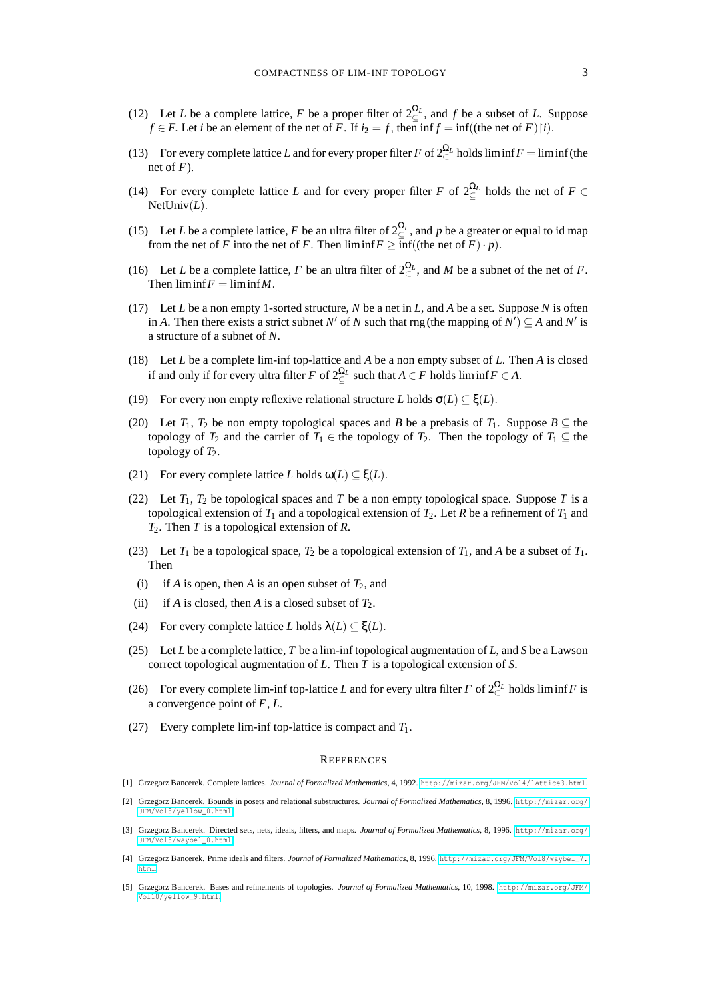- (12) Let *L* be a complete lattice, *F* be a proper filter of  $2^{\Omega_L}_\subseteq$ , and *f* be a subset of *L*. Suppose *f* ∈ *F*. Let *i* be an element of the net of *F*. If  $i_2 = f$ , then inf  $f = \inf((\text{the net of } F)|i)$ .
- (13) For every complete lattice *L* and for every proper filter *F* of  $2\frac{\Omega_L}{\epsilon}$  holds liminf*F* = liminf(the net of  $F$ ).
- (14) For every complete lattice *L* and for every proper filter *F* of  $2\frac{\Omega_L}{\epsilon}$  holds the net of *F*  $\epsilon$ NetUniv(*L*).
- (15) Let *L* be a complete lattice, *F* be an ultra filter of  $2^{\Omega_L}_\subseteq$ , and *p* be a greater or equal to id map from the net of *F* into the net of *F*. Then  $\liminf F \ge \overline{\inf}$  ((the net of *F*) · *p*).
- (16) Let *L* be a complete lattice, *F* be an ultra filter of  $2\frac{\Omega_L}{\Omega}$ , and *M* be a subnet of the net of *F*. Then  $\liminf F = \liminf M$ .
- (17) Let *L* be a non empty 1-sorted structure, *N* be a net in *L*, and *A* be a set. Suppose *N* is often in *A*. Then there exists a strict subnet *N*<sup> $\prime$ </sup> of *N* such that rng (the mapping of *N*<sup> $\prime$ </sup>)  $\subseteq$  *A* and *N*<sup> $\prime$ </sup> is a structure of a subnet of *N*.
- (18) Let *L* be a complete lim-inf top-lattice and *A* be a non empty subset of *L*. Then *A* is closed if and only if for every ultra filter *F* of  $2^{\Omega_L}_\subseteq$  such that  $A \in F$  holds liminf  $F \in A$ .
- (19) For every non empty reflexive relational structure *L* holds  $\sigma(L) \subseteq \xi(L)$ .
- (20) Let *T*<sub>1</sub>, *T*<sub>2</sub> be non empty topological spaces and *B* be a prebasis of *T*<sub>1</sub>. Suppose *B*  $\subseteq$  the topology of *T*<sub>2</sub> and the carrier of *T*<sub>1</sub> ∈ the topology of *T*<sub>2</sub>. Then the topology of *T*<sub>1</sub> ⊆ the topology of  $T_2$ .
- (21) For every complete lattice *L* holds  $\omega(L) \subseteq \xi(L)$ .
- (22) Let  $T_1$ ,  $T_2$  be topological spaces and *T* be a non empty topological space. Suppose *T* is a topological extension of  $T_1$  and a topological extension of  $T_2$ . Let *R* be a refinement of  $T_1$  and *T*2. Then *T* is a topological extension of *R*.
- (23) Let  $T_1$  be a topological space,  $T_2$  be a topological extension of  $T_1$ , and A be a subset of  $T_1$ . Then
- (i) if *A* is open, then *A* is an open subset of  $T_2$ , and
- (ii) if *A* is closed, then *A* is a closed subset of  $T_2$ .
- (24) For every complete lattice *L* holds  $\lambda(L) \subseteq \xi(L)$ .
- (25) Let *L* be a complete lattice, *T* be a lim-inf topological augmentation of *L*, and *S* be a Lawson correct topological augmentation of *L*. Then *T* is a topological extension of *S*.
- (26) For every complete lim-inf top-lattice *L* and for every ultra filter *F* of  $2^{\Omega_L}_\subseteq$  holds liminf *F* is a convergence point of *F*, *L*.
- (27) Every complete lim-inf top-lattice is compact and *T*1.

## **REFERENCES**

- <span id="page-2-0"></span>[1] Grzegorz Bancerek. Complete lattices. *Journal of Formalized Mathematics*, 4, 1992. <http://mizar.org/JFM/Vol4/lattice3.html>.
- <span id="page-2-1"></span>[2] Grzegorz Bancerek. Bounds in posets and relational substructures. *Journal of Formalized Mathematics*, 8, 1996. [http://mizar.org/](http://mizar.org/JFM/Vol8/yellow_0.html) [JFM/Vol8/yellow\\_0.html](http://mizar.org/JFM/Vol8/yellow_0.html).
- <span id="page-2-2"></span>[3] Grzegorz Bancerek. Directed sets, nets, ideals, filters, and maps. *Journal of Formalized Mathematics*, 8, 1996. [http://mizar.org/](http://mizar.org/JFM/Vol8/waybel_0.html) [JFM/Vol8/waybel\\_0.html](http://mizar.org/JFM/Vol8/waybel_0.html).
- <span id="page-2-3"></span>[4] Grzegorz Bancerek. Prime ideals and filters. *Journal of Formalized Mathematics*, 8, 1996. [http://mizar.org/JFM/Vol8/waybel\\_7.](http://mizar.org/JFM/Vol8/waybel_7.html) [html](http://mizar.org/JFM/Vol8/waybel_7.html).
- <span id="page-2-4"></span>[5] Grzegorz Bancerek. Bases and refinements of topologies. *Journal of Formalized Mathematics*, 10, 1998. [http://mizar.org/JFM/](http://mizar.org/JFM/Vol10/yellow_9.html) [Vol10/yellow\\_9.html](http://mizar.org/JFM/Vol10/yellow_9.html).